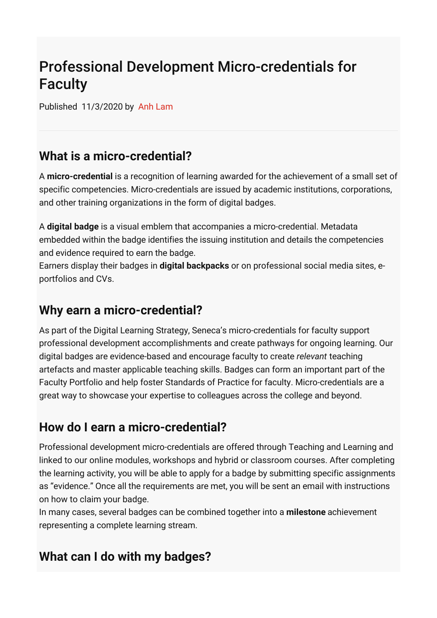# Professional Development Micro-credentials for Faculty

Published 11/3/2020 by [Anh Lam](https://employees.senecacollege.ca/people/anh-lam)

### **What is a micro-credential?**

A **micro-credential** is a recognition of learning awarded for the achievement of a small set of specific competencies. Micro-credentials are issued by academic institutions, corporations, and other training organizations in the form of digital badges.

A **digital badge** is a visual emblem that accompanies a micro-credential. Metadata embedded within the badge identifies the issuing institution and details the competencies and evidence required to earn the badge.

Earners display their badges in **digital backpacks** or on professional social media sites, eportfolios and CVs.

#### **Why earn a micro-credential?**

As part of the Digital Learning Strategy, Seneca's micro-credentials for faculty support professional development accomplishments and create pathways for ongoing learning. Our digital badges are evidence-based and encourage faculty to create *relevant* teaching artefacts and master applicable teaching skills. Badges can form an important part of the Faculty Portfolio and help foster Standards of Practice for faculty. Micro-credentials are a great way to showcase your expertise to colleagues across the college and beyond.

## **How do I earn a micro-credential?**

Professional development micro-credentials are offered through Teaching and Learning and linked to our online modules, workshops and hybrid or classroom courses. After completing the learning activity, you will be able to apply for a badge by submitting specific assignments as "evidence." Once all the requirements are met, you will be sent an email with instructions on how to claim your badge.

In many cases, several badges can be combined together into a **milestone** achievement representing a complete learning stream.

## **What can I do with my badges?**